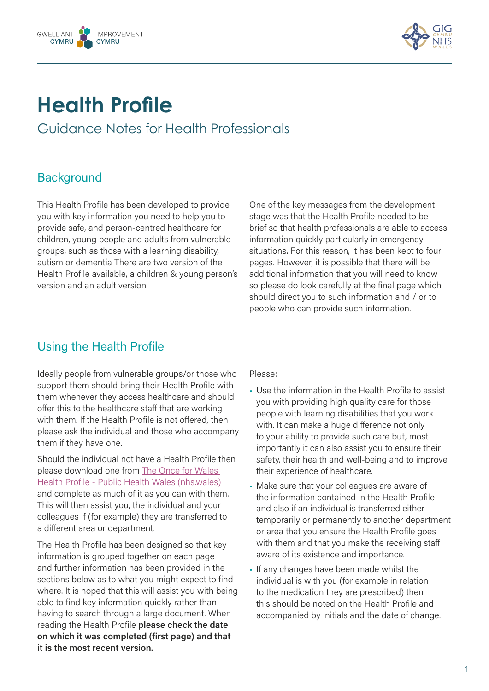



# **Health Profile**

Guidance Notes for Health Professionals

# **Background**

This Health Profile has been developed to provide you with key information you need to help you to provide safe, and person-centred healthcare for children, young people and adults from vulnerable groups, such as those with a learning disability, autism or dementia There are two version of the Health Profile available, a children & young person's version and an adult version.

One of the key messages from the development stage was that the Health Profile needed to be brief so that health professionals are able to access information quickly particularly in emergency situations. For this reason, it has been kept to four pages. However, it is possible that there will be additional information that you will need to know so please do look carefully at the final page which should direct you to such information and / or to people who can provide such information.

## Using the Health Profile

Ideally people from vulnerable groups/or those who support them should bring their Health Profile with them whenever they access healthcare and should offer this to the healthcare staff that are working with them. If the Health Profile is not offered, then please ask the individual and those who accompany them if they have one.

Should the individual not have a Health Profile then please download one from The Once for Wales [Health Profile - Public Health Wales \(nhs.wales\)](https://phw.nhs.wales/services-and-teams/improvement-cymru/our-work/learning-disability-health-improvement-programme/health-profile/health-profile-for-professionals/)  and complete as much of it as you can with them. This will then assist you, the individual and your colleagues if (for example) they are transferred to a different area or department.

The Health Profile has been designed so that key information is grouped together on each page and further information has been provided in the sections below as to what you might expect to find where. It is hoped that this will assist you with being able to find key information quickly rather than having to search through a large document. When reading the Health Profile **please check the date on which it was completed (first page) and that it is the most recent version.** 

Please:

- Use the information in the Health Profile to assist you with providing high quality care for those people with learning disabilities that you work with. It can make a huge difference not only to your ability to provide such care but, most importantly it can also assist you to ensure their safety, their health and well-being and to improve their experience of healthcare.
- Make sure that your colleagues are aware of the information contained in the Health Profile and also if an individual is transferred either temporarily or permanently to another department or area that you ensure the Health Profile goes with them and that you make the receiving staff aware of its existence and importance.
- If any changes have been made whilst the individual is with you (for example in relation to the medication they are prescribed) then this should be noted on the Health Profile and accompanied by initials and the date of change.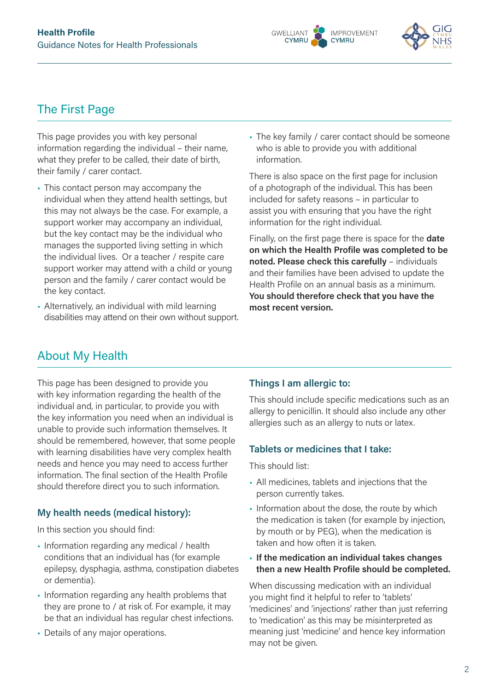



# The First Page

This page provides you with key personal information regarding the individual – their name, what they prefer to be called, their date of birth, their family / carer contact.

- This contact person may accompany the individual when they attend health settings, but this may not always be the case. For example, a support worker may accompany an individual, but the key contact may be the individual who manages the supported living setting in which the individual lives. Or a teacher / respite care support worker may attend with a child or young person and the family / carer contact would be the key contact.
- Alternatively, an individual with mild learning disabilities may attend on their own without support.

• The key family / carer contact should be someone who is able to provide you with additional information.

There is also space on the first page for inclusion of a photograph of the individual. This has been included for safety reasons – in particular to assist you with ensuring that you have the right information for the right individual.

Finally, on the first page there is space for the **date on which the Health Profile was completed to be noted. Please check this carefully** – individuals and their families have been advised to update the Health Profile on an annual basis as a minimum. **You should therefore check that you have the most recent version.**

# About My Health

This page has been designed to provide you with key information regarding the health of the individual and, in particular, to provide you with the key information you need when an individual is unable to provide such information themselves. It should be remembered, however, that some people with learning disabilities have very complex health needs and hence you may need to access further information. The final section of the Health Profile should therefore direct you to such information.

#### **My health needs (medical history):**

In this section you should find:

- Information regarding any medical / health conditions that an individual has (for example epilepsy, dysphagia, asthma, constipation diabetes or dementia).
- Information regarding any health problems that they are prone to / at risk of. For example, it may be that an individual has regular chest infections.
- Details of any major operations.

#### **Things I am allergic to:**

This should include specific medications such as an allergy to penicillin. It should also include any other allergies such as an allergy to nuts or latex.

#### **Tablets or medicines that I take:**

This should list:

- All medicines, tablets and injections that the person currently takes.
- Information about the dose, the route by which the medication is taken (for example by injection, by mouth or by PEG), when the medication is taken and how often it is taken.
- **If the medication an individual takes changes then a new Health Profile should be completed.**

When discussing medication with an individual you might find it helpful to refer to 'tablets' 'medicines' and 'injections' rather than just referring to 'medication' as this may be misinterpreted as meaning just 'medicine' and hence key information may not be given.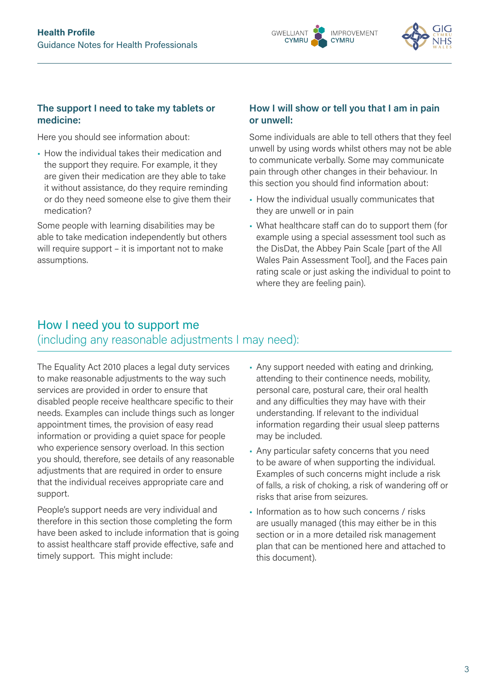



#### **The support I need to take my tablets or medicine:**

Here you should see information about:

• How the individual takes their medication and the support they require. For example, it they are given their medication are they able to take it without assistance, do they require reminding or do they need someone else to give them their medication?

Some people with learning disabilities may be able to take medication independently but others will require support – it is important not to make assumptions.

#### **How I will show or tell you that I am in pain or unwell:**

Some individuals are able to tell others that they feel unwell by using words whilst others may not be able to communicate verbally. Some may communicate pain through other changes in their behaviour. In this section you should find information about:

- How the individual usually communicates that they are unwell or in pain
- What healthcare staff can do to support them (for example using a special assessment tool such as the DisDat, the Abbey Pain Scale [part of the All Wales Pain Assessment Tool], and the Faces pain rating scale or just asking the individual to point to where they are feeling pain).

## How I need you to support me (including any reasonable adjustments I may need):

The Equality Act 2010 places a legal duty services to make reasonable adjustments to the way such services are provided in order to ensure that disabled people receive healthcare specific to their needs. Examples can include things such as longer appointment times, the provision of easy read information or providing a quiet space for people who experience sensory overload. In this section you should, therefore, see details of any reasonable adjustments that are required in order to ensure that the individual receives appropriate care and support.

People's support needs are very individual and therefore in this section those completing the form have been asked to include information that is going to assist healthcare staff provide effective, safe and timely support. This might include:

- Any support needed with eating and drinking, attending to their continence needs, mobility, personal care, postural care, their oral health and any difficulties they may have with their understanding. If relevant to the individual information regarding their usual sleep patterns may be included.
- Any particular safety concerns that you need to be aware of when supporting the individual. Examples of such concerns might include a risk of falls, a risk of choking, a risk of wandering off or risks that arise from seizures.
- Information as to how such concerns / risks are usually managed (this may either be in this section or in a more detailed risk management plan that can be mentioned here and attached to this document).